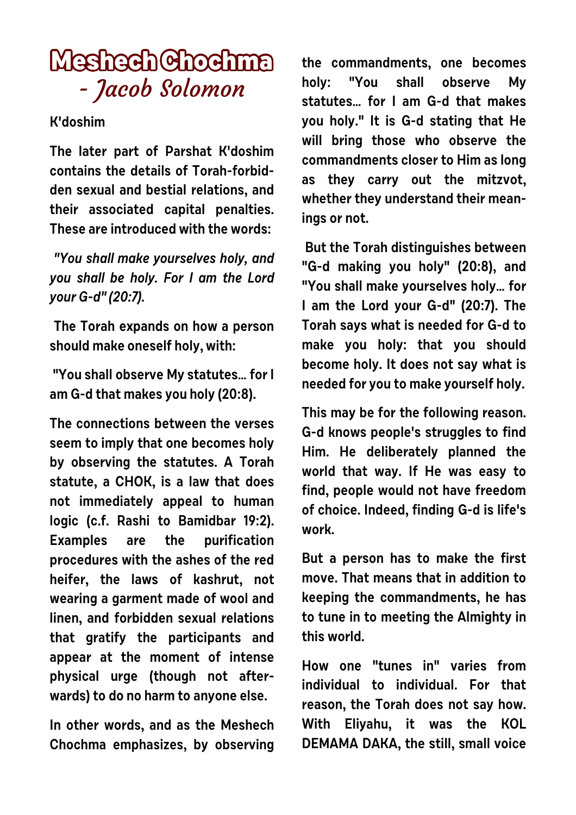## **Meshech Chochma** - Jacob Solomon

## **K'doshim**

**The later part of Parshat K'doshim contains the details of Torah-forbidden sexual and bestial relations, and their associated capital penalties. These are introduced with the words:**

 **"You shall make yourselves holy, and you shall be holy. For I am the Lord your G-d" (20:7).**

 **The Torah expands on how a person should make oneself holy, with:**

 **"You shall observe My statutes… for I am G-d that makes you holy (20:8).**

**The connections between the verses seem to imply that one becomes holy by observing the statutes. A Torah statute, a CHOK, is a law that does not immediately appeal to human logic (c.f. Rashi to Bamidbar 19:2). Examples are the purification procedures with the ashes of the red heifer, the laws of kashrut, not wearing a garment made of wool and linen, and forbidden sexual relations that gratify the participants and appear at the moment of intense physical urge (though not afterwards) to do no harm to anyone else.** 

**In other words, and as the Meshech Chochma emphasizes, by observing** **the commandments, one becomes holy: "You shall observe My statutes… for I am G-d that makes you holy." It is G-d stating that He will bring those who observe the commandments closer to Him as long as they carry out the mitzvot, whether they understand their meanings or not.**

 **But the Torah distinguishes between "G-d making you holy" (20:8), and "You shall make yourselves holy… for I am the Lord your G-d" (20:7). The Torah says what is needed for G-d to make you holy: that you should become holy. It does not say what is needed for you to make yourself holy.**

**This may be for the following reason. G-d knows people's struggles to find Him. He deliberately planned the world that way. If He was easy to find, people would not have freedom of choice. Indeed, finding G-d is life's work.** 

**But a person has to make the first move. That means that in addition to keeping the commandments, he has to tune in to meeting the Almighty in this world.** 

**How one "tunes in" varies from individual to individual. For that reason, the Torah does not say how. With Eliyahu, it was the KOL DEMAMA DAKA, the still, small voice**